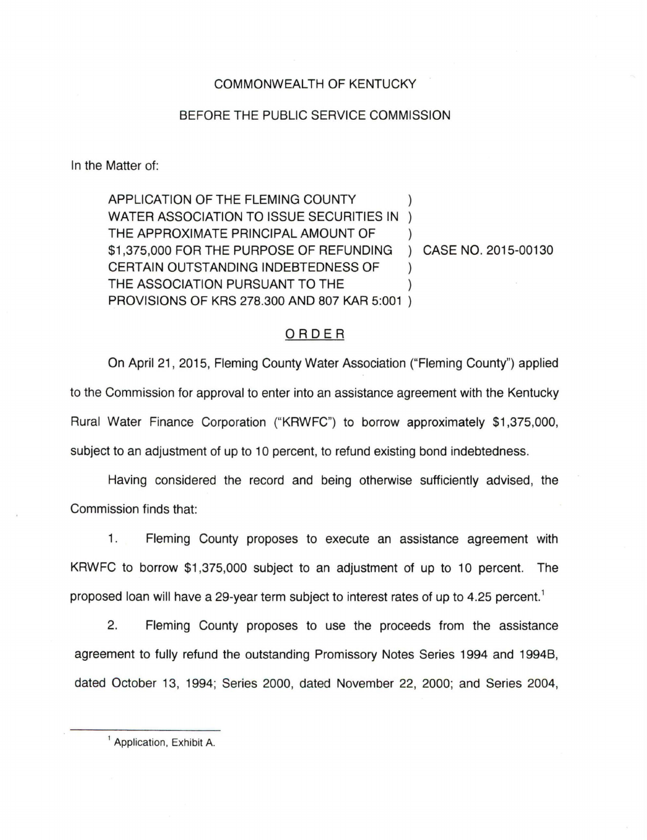## COMMONWEALTH OF KENTUCKY

## BEFORE THE PUBLIC SERVICE COMMISSION

In the Matter of:

APPLICATION OF THE FLEMING COUNTY WATER ASSOCIATION TO ISSUE SECURITIES IN ) THE APPROXIMATE PRINCIPAL AMOUNT OF \$1,375,000 FOR THE PURPOSE OF REFUNDING ) CASE NO. 2015-00130 CERTAIN OUTSTANDING INDEBTEDNESS OF ) THE ASSOCIATION PURSUANT TO THE PROVISIONS OF KRS 278.300 AND 807 KAR 5:001 )

## ORDER

On April 21 , 2015, Fleming County Water Association ("Fleming County") applied to the Commission for approval to enter into an assistance agreement with the Kentucky Rural Water Finance Corporation ("KRWFC") to borrow approximately \$1,375,000, subject to an adjustment of up to 10 percent, to refund existing bond indebtedness.

Having considered the record and being otherwise sufficiently advised, the Commission finds that:

1. Fleming County proposes to execute an assistance agreement with KRWFC to borrow \$1,375,000 subject to an adjustment of up to 10 percent. The proposed loan will have a 29-year term subject to interest rates of up to 4.25 percent.<sup>1</sup>

2. Fleming County proposes to use the proceeds from the assistance agreement to fully refund the outstanding Promissory Notes Series 1994 and 1994B, dated October 13, 1994; Series 2000, dated November 22, 2000; and Series 2004,

<sup>&</sup>lt;sup>1</sup> Application, Exhibit A.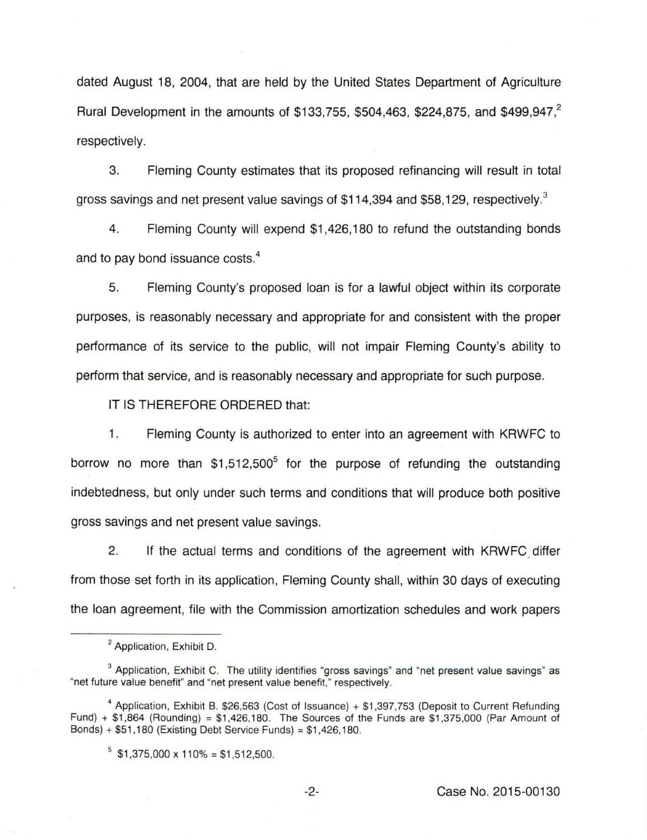dated August 18, 2004, that are held by the United States Department of Agriculture Rural Development in the amounts of \$133,755, \$504,463, \$224,875, and \$499,947.<sup>2</sup> respectively.

3. Fleming County estimates that its proposed refinancing will result in total gross savings and net present value savings of \$114,394 and \$58,129, respectively.<sup>3</sup>

4. Fleming County will expend \$1,426,180 to refund the outstanding bonds and to pay bond issuance costs. 4

5. Fleming County's proposed loan is for a lawful object within its corporate purposes, is reasonably necessary and appropriate for and consistent with the proper performance of its service to the public, will not impair Fleming County's ability to perform that service, and is reasonably necessary and appropriate for such purpose.

IT IS THEREFORE ORDERED that:

1. Fleming County is authorized to enter into an agreement with KRWFC to borrow no more than  $$1,512,500^5$  for the purpose of refunding the outstanding indebtedness, but only under such terms and conditions that will produce both positive gross savings and net present value savings.

2. If the actual terms and conditions of the agreement with KRWFC differ from those set forth in its application, Fleming County shall, within 30 days of executing the loan agreement, file with the Commission amortization schedules and work papers

<sup>&</sup>lt;sup>2</sup> Application, Exhibit D.

 $3$  Application, Exhibit C. The utility identifies "gross savings" and "net present value savings" as "net future value benefit" and "net present value benefit," respectively.

<sup>&</sup>lt;sup>4</sup> Application, Exhibit B. \$26,563 (Cost of Issuance) + \$1,397,753 (Deposit to Current Refunding Fund) + \$1 ,864 (Rounding) = \$1,426,180. The Sources of the Funds are \$1 ,375,000 (Par Amount of Bonds) + \$51 ,180 (Existing Debt Service Funds) = \$1 ,426,180.

 $5$  \$1,375,000 x 110% = \$1,512,500.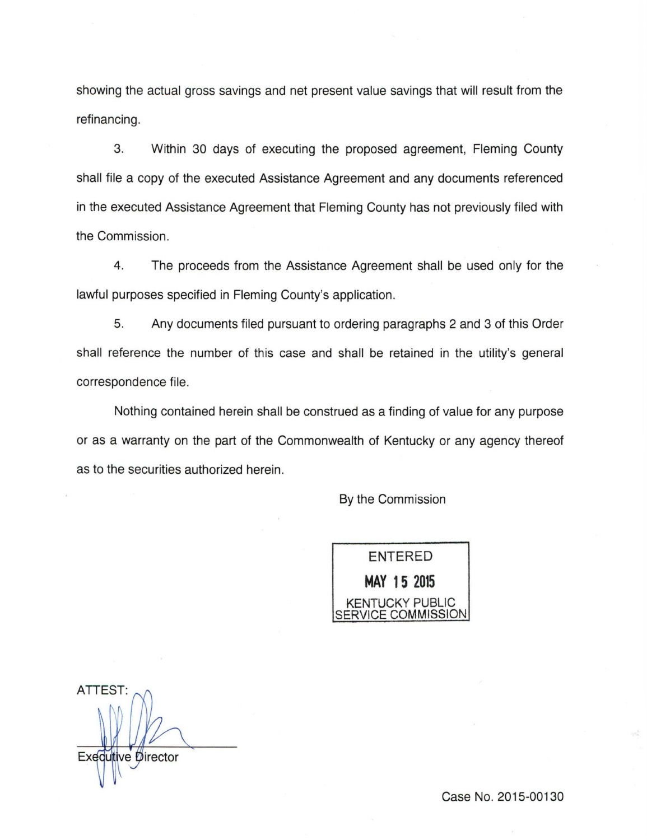showing the actual gross savings and net present value savings that will result from the refinancing.

3. Within 30 days of executing the proposed agreement, Fleming County shall file a copy of the executed Assistance Agreement and any documents referenced in the executed Assistance Agreement that Fleming County has not previously filed with the Commission.

4. The proceeds from the Assistance Agreement shall be used only for the lawful purposes specified in Fleming County's application.

5. Any documents filed pursuant to ordering paragraphs 2 and 3 of this Order shall reference the number of this case and shall be retained in the utility's general correspondence file.

Nothing contained herein shall be construed as a finding of value for any purpose or as a warranty on the part of the Commonwealth of Kentucky or any agency thereof as to the securities authorized herein.

By the Commission

**ENTERED MAY 15 2015**  KENTUCKY PUBLIC ERVICE COMMISSION

ATTEST: Executive Director

Case No. 2015-00130